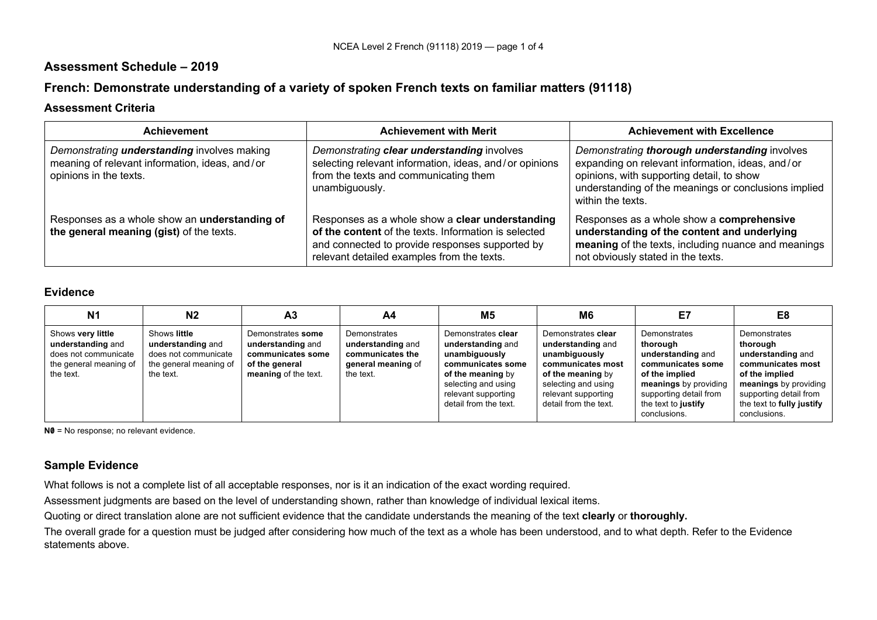## **Assessment Schedule – 2019**

# **French: Demonstrate understanding of a variety of spoken French texts on familiar matters (91118)**

#### **Assessment Criteria**

| <b>Achievement</b>                                                                                                             | <b>Achievement with Merit</b>                                                                                                                                                                            | <b>Achievement with Excellence</b>                                                                                                                                                                                          |
|--------------------------------------------------------------------------------------------------------------------------------|----------------------------------------------------------------------------------------------------------------------------------------------------------------------------------------------------------|-----------------------------------------------------------------------------------------------------------------------------------------------------------------------------------------------------------------------------|
| Demonstrating <i>understanding</i> involves making<br>meaning of relevant information, ideas, and/or<br>opinions in the texts. | Demonstrating clear understanding involves<br>selecting relevant information, ideas, and/or opinions<br>from the texts and communicating them<br>unambiguously.                                          | Demonstrating thorough understanding involves<br>expanding on relevant information, ideas, and/or<br>opinions, with supporting detail, to show<br>understanding of the meanings or conclusions implied<br>within the texts. |
| Responses as a whole show an understanding of<br>the general meaning (gist) of the texts.                                      | Responses as a whole show a clear understanding<br>of the content of the texts. Information is selected<br>and connected to provide responses supported by<br>relevant detailed examples from the texts. | Responses as a whole show a comprehensive<br>understanding of the content and underlying<br>meaning of the texts, including nuance and meanings<br>not obviously stated in the texts.                                       |

#### **Evidence**

| N <sub>1</sub>                                                                                        | N <sub>2</sub>                                                                                   | A <sub>3</sub>                                                                                        | A4                                                                                       | M <sub>5</sub>                                                                                                                                                            | M <sub>6</sub>                                                                                                                                                            | E7                                                                                                                                                                             | E <sub>8</sub>                                                                                                                                                                       |
|-------------------------------------------------------------------------------------------------------|--------------------------------------------------------------------------------------------------|-------------------------------------------------------------------------------------------------------|------------------------------------------------------------------------------------------|---------------------------------------------------------------------------------------------------------------------------------------------------------------------------|---------------------------------------------------------------------------------------------------------------------------------------------------------------------------|--------------------------------------------------------------------------------------------------------------------------------------------------------------------------------|--------------------------------------------------------------------------------------------------------------------------------------------------------------------------------------|
| Shows very little<br>understanding and<br>does not communicate<br>the general meaning of<br>the text. | Shows little<br>understanding and<br>does not communicate<br>the general meaning of<br>the text. | Demonstrates some<br>understanding and<br>communicates some<br>of the general<br>meaning of the text. | Demonstrates<br>understanding and<br>communicates the<br>general meaning of<br>the text. | Demonstrates clear<br>understanding and<br>unambiguously<br>communicates some<br>of the meaning by<br>selecting and using<br>relevant supporting<br>detail from the text. | Demonstrates clear<br>understanding and<br>unambiguously<br>communicates most<br>of the meaning by<br>selecting and using<br>relevant supporting<br>detail from the text. | Demonstrates<br>thorough<br>understanding and<br>communicates some<br>of the implied<br>meanings by providing<br>supporting detail from<br>the text to justify<br>conclusions. | Demonstrates<br>thorough<br>understanding and<br>communicates most<br>of the implied<br>meanings by providing<br>supporting detail from<br>the text to fully justify<br>conclusions. |

**N0** = No response; no relevant evidence.

### **Sample Evidence**

What follows is not a complete list of all acceptable responses, nor is it an indication of the exact wording required.

Assessment judgments are based on the level of understanding shown, rather than knowledge of individual lexical items.

Quoting or direct translation alone are not sufficient evidence that the candidate understands the meaning of the text **clearly** or **thoroughly.**

The overall grade for a question must be judged after considering how much of the text as a whole has been understood, and to what depth. Refer to the Evidence statements above.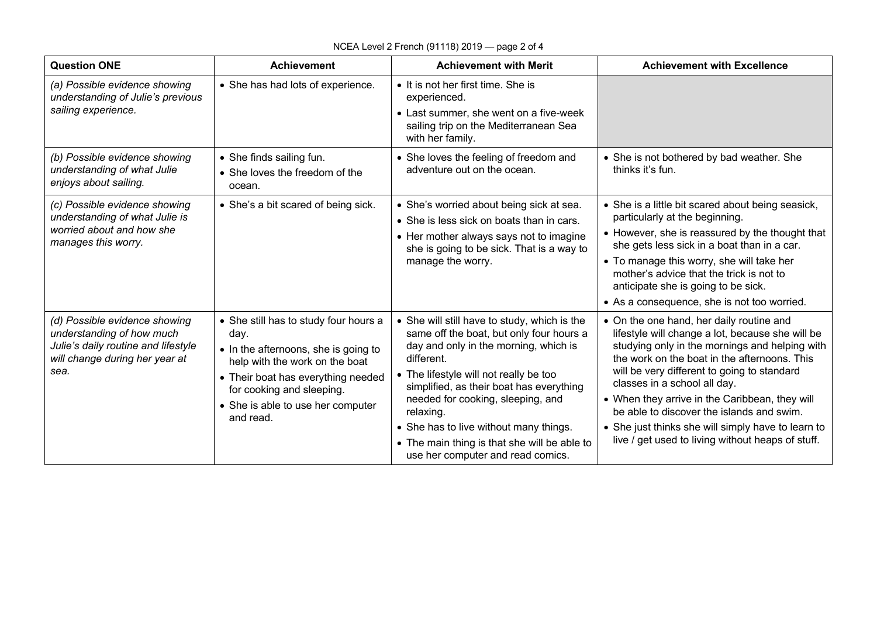## NCEA Level 2 French (91118) 2019 — page 2 of 4

| <b>Question ONE</b>                                                                                                                         | <b>Achievement</b>                                                                                                                                                                                                                           | <b>Achievement with Merit</b>                                                                                                                                                                                                                                                                                                                                                                                          | <b>Achievement with Excellence</b>                                                                                                                                                                                                                                                                                                                                                                                                                                                      |
|---------------------------------------------------------------------------------------------------------------------------------------------|----------------------------------------------------------------------------------------------------------------------------------------------------------------------------------------------------------------------------------------------|------------------------------------------------------------------------------------------------------------------------------------------------------------------------------------------------------------------------------------------------------------------------------------------------------------------------------------------------------------------------------------------------------------------------|-----------------------------------------------------------------------------------------------------------------------------------------------------------------------------------------------------------------------------------------------------------------------------------------------------------------------------------------------------------------------------------------------------------------------------------------------------------------------------------------|
| (a) Possible evidence showing<br>understanding of Julie's previous<br>sailing experience.                                                   | • She has had lots of experience.                                                                                                                                                                                                            | • It is not her first time. She is<br>experienced.<br>• Last summer, she went on a five-week<br>sailing trip on the Mediterranean Sea<br>with her family.                                                                                                                                                                                                                                                              |                                                                                                                                                                                                                                                                                                                                                                                                                                                                                         |
| (b) Possible evidence showing<br>understanding of what Julie<br>enjoys about sailing.                                                       | • She finds sailing fun.<br>• She loves the freedom of the<br>ocean.                                                                                                                                                                         | • She loves the feeling of freedom and<br>adventure out on the ocean.                                                                                                                                                                                                                                                                                                                                                  | • She is not bothered by bad weather. She<br>thinks it's fun.                                                                                                                                                                                                                                                                                                                                                                                                                           |
| (c) Possible evidence showing<br>understanding of what Julie is<br>worried about and how she<br>manages this worry.                         | • She's a bit scared of being sick.                                                                                                                                                                                                          | • She's worried about being sick at sea.<br>• She is less sick on boats than in cars.<br>• Her mother always says not to imagine<br>she is going to be sick. That is a way to<br>manage the worry.                                                                                                                                                                                                                     | • She is a little bit scared about being seasick,<br>particularly at the beginning.<br>• However, she is reassured by the thought that<br>she gets less sick in a boat than in a car.<br>• To manage this worry, she will take her<br>mother's advice that the trick is not to<br>anticipate she is going to be sick.<br>• As a consequence, she is not too worried.                                                                                                                    |
| (d) Possible evidence showing<br>understanding of how much<br>Julie's daily routine and lifestyle<br>will change during her year at<br>sea. | • She still has to study four hours a<br>day.<br>• In the afternoons, she is going to<br>help with the work on the boat<br>• Their boat has everything needed<br>for cooking and sleeping.<br>• She is able to use her computer<br>and read. | • She will still have to study, which is the<br>same off the boat, but only four hours a<br>day and only in the morning, which is<br>different.<br>• The lifestyle will not really be too<br>simplified, as their boat has everything<br>needed for cooking, sleeping, and<br>relaxing.<br>• She has to live without many things.<br>• The main thing is that she will be able to<br>use her computer and read comics. | • On the one hand, her daily routine and<br>lifestyle will change a lot, because she will be<br>studying only in the mornings and helping with<br>the work on the boat in the afternoons. This<br>will be very different to going to standard<br>classes in a school all day.<br>• When they arrive in the Caribbean, they will<br>be able to discover the islands and swim.<br>• She just thinks she will simply have to learn to<br>live / get used to living without heaps of stuff. |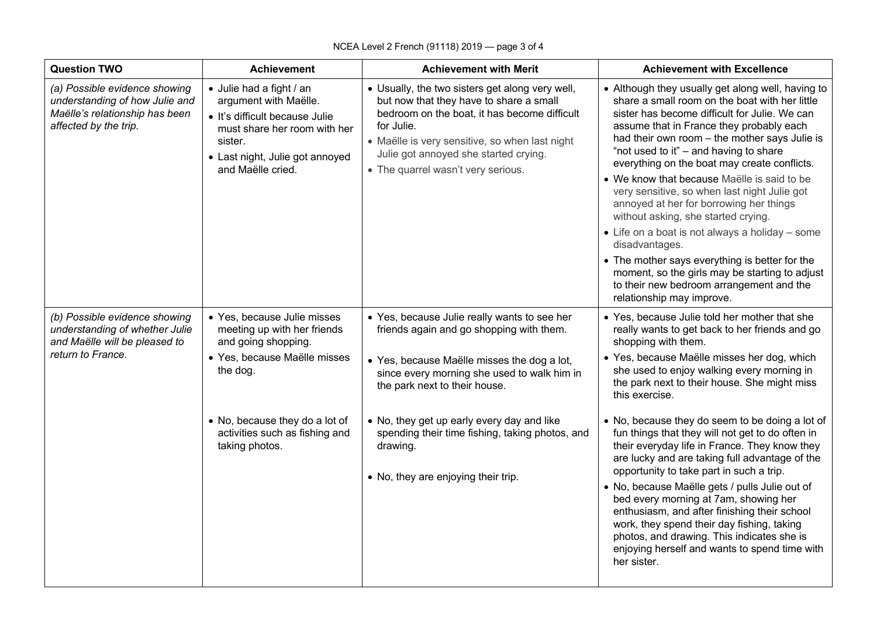| <b>Question TWO</b>                                                                                                        | <b>Achievement</b>                                                                                                                                                                     | <b>Achievement with Merit</b>                                                                                                                                                                                                                                                             | <b>Achievement with Excellence</b>                                                                                                                                                                                                                                                                                                                                                                                                                                                                                                                                                                                                                                                                                                                                             |
|----------------------------------------------------------------------------------------------------------------------------|----------------------------------------------------------------------------------------------------------------------------------------------------------------------------------------|-------------------------------------------------------------------------------------------------------------------------------------------------------------------------------------------------------------------------------------------------------------------------------------------|--------------------------------------------------------------------------------------------------------------------------------------------------------------------------------------------------------------------------------------------------------------------------------------------------------------------------------------------------------------------------------------------------------------------------------------------------------------------------------------------------------------------------------------------------------------------------------------------------------------------------------------------------------------------------------------------------------------------------------------------------------------------------------|
| (a) Possible evidence showing<br>understanding of how Julie and<br>Maëlle's relationship has been<br>affected by the trip. | · Julie had a fight / an<br>argument with Maëlle.<br>· It's difficult because Julie<br>must share her room with her<br>sister.<br>• Last night, Julie got annoyed<br>and Maëlle cried. | • Usually, the two sisters get along very well,<br>but now that they have to share a small<br>bedroom on the boat, it has become difficult<br>for Julie.<br>• Maëlle is very sensitive, so when last night<br>Julie got annoyed she started crying.<br>• The quarrel wasn't very serious. | • Although they usually get along well, having to<br>share a small room on the boat with her little<br>sister has become difficult for Julie. We can<br>assume that in France they probably each<br>had their own room - the mother says Julie is<br>"not used to it" - and having to share<br>everything on the boat may create conflicts.<br>• We know that because Maëlle is said to be<br>very sensitive, so when last night Julie got<br>annoyed at her for borrowing her things<br>without asking, she started crying.<br>• Life on a boat is not always a holiday - some<br>disadvantages.<br>• The mother says everything is better for the<br>moment, so the girls may be starting to adjust<br>to their new bedroom arrangement and the<br>relationship may improve. |
| (b) Possible evidence showing<br>understanding of whether Julie<br>and Maëlle will be pleased to<br>return to France.      | • Yes, because Julie misses<br>meeting up with her friends<br>and going shopping.<br>· Yes, because Maëlle misses<br>the dog.                                                          | • Yes, because Julie really wants to see her<br>friends again and go shopping with them.<br>• Yes, because Maëlle misses the dog a lot,<br>since every morning she used to walk him in<br>the park next to their house.                                                                   | • Yes, because Julie told her mother that she<br>really wants to get back to her friends and go<br>shopping with them.<br>• Yes, because Maëlle misses her dog, which<br>she used to enjoy walking every morning in<br>the park next to their house. She might miss<br>this exercise.                                                                                                                                                                                                                                                                                                                                                                                                                                                                                          |
|                                                                                                                            | • No, because they do a lot of<br>activities such as fishing and<br>taking photos.                                                                                                     | • No, they get up early every day and like<br>spending their time fishing, taking photos, and<br>drawing.<br>• No, they are enjoying their trip.                                                                                                                                          | . No, because they do seem to be doing a lot of<br>fun things that they will not get to do often in<br>their everyday life in France. They know they<br>are lucky and are taking full advantage of the<br>opportunity to take part in such a trip.<br>· No, because Maëlle gets / pulls Julie out of<br>bed every morning at 7am, showing her<br>enthusiasm, and after finishing their school<br>work, they spend their day fishing, taking<br>photos, and drawing. This indicates she is<br>enjoying herself and wants to spend time with<br>her sister.                                                                                                                                                                                                                      |